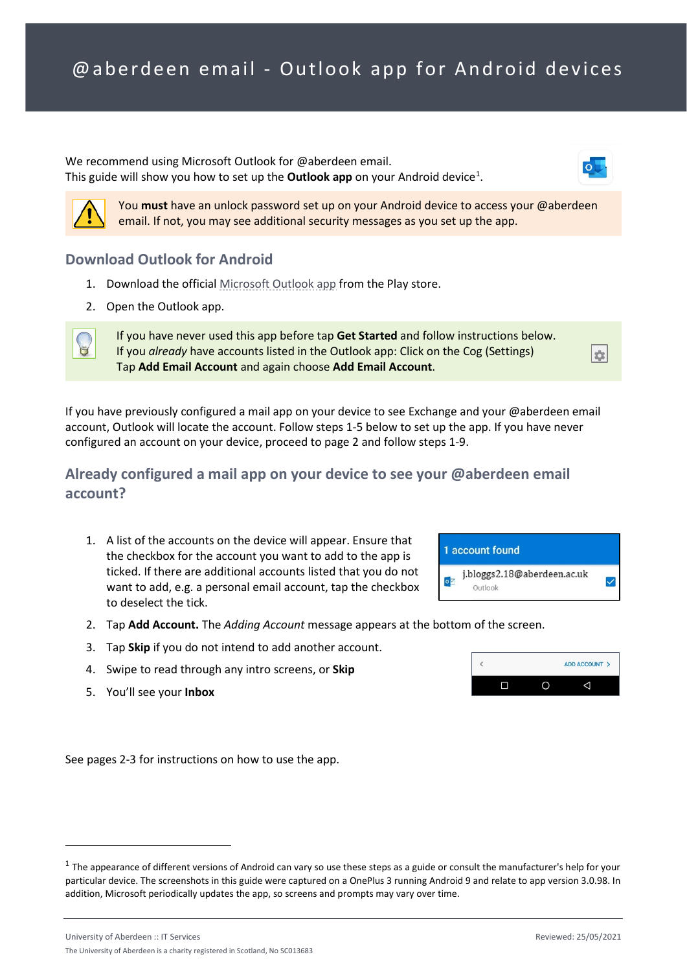We recommend using Microsoft Outlook for @aberdeen email. This guide will show you how to set up the **Outlook app** on your Android device<sup>[1](#page-0-0)</sup>.



You **must** have an unlock password set up on your Android device to access your @aberdeen email. If not, you may see additional security messages as you set up the app.

### **Download Outlook for Android**

- 1. Download the official [Microsoft Outlook app](https://play.google.com/store/apps/details?id=com.microsoft.office.outlook&hl=en_US) from the Play store.
- 2. Open the Outlook app.



If you have never used this app before tap **Get Started** and follow instructions below. If you *already* have accounts listed in the Outlook app: Click on the Cog (Settings) Tap **Add Email Account** and again choose **Add Email Account**.

If you have previously configured a mail app on your device to see Exchange and your @aberdeen email account, Outlook will locate the account. Follow steps 1-5 below to set up the app. If you have never configured an account on your device, proceed to page 2 and follow steps 1-9.

## **Already configured a mail app on your device to see your @aberdeen email account?**

1. A list of the accounts on the device will appear. Ensure that the checkbox for the account you want to add to the app is ticked. If there are additional accounts listed that you do not want to add, e.g. a personal email account, tap the checkbox to deselect the tick.



Outlook

 $\overline{\phantom{a}}$ 

 $\Box$ 

 $\circ$ 

 $\frac{1}{2}$ 

- 2. Tap **Add Account.** The *Adding Account* message appears at the bottom of the screen.
- 3. Tap **Skip** if you do not intend to add another account.
- 4. Swipe to read through any intro screens, or **Skip**
- 5. You'll see your **Inbox**

See pages 2-3 for instructions on how to use the app.

ADD ACCOUNT >

 $\triangle$ 

<span id="page-0-0"></span> $1$  The appearance of different versions of Android can vary so use these steps as a guide or consult the manufacturer's help for your particular device. The screenshots in this guide were captured on a OnePlus 3 running Android 9 and relate to app version 3.0.98. In addition, Microsoft periodically updates the app, so screens and prompts may vary over time.